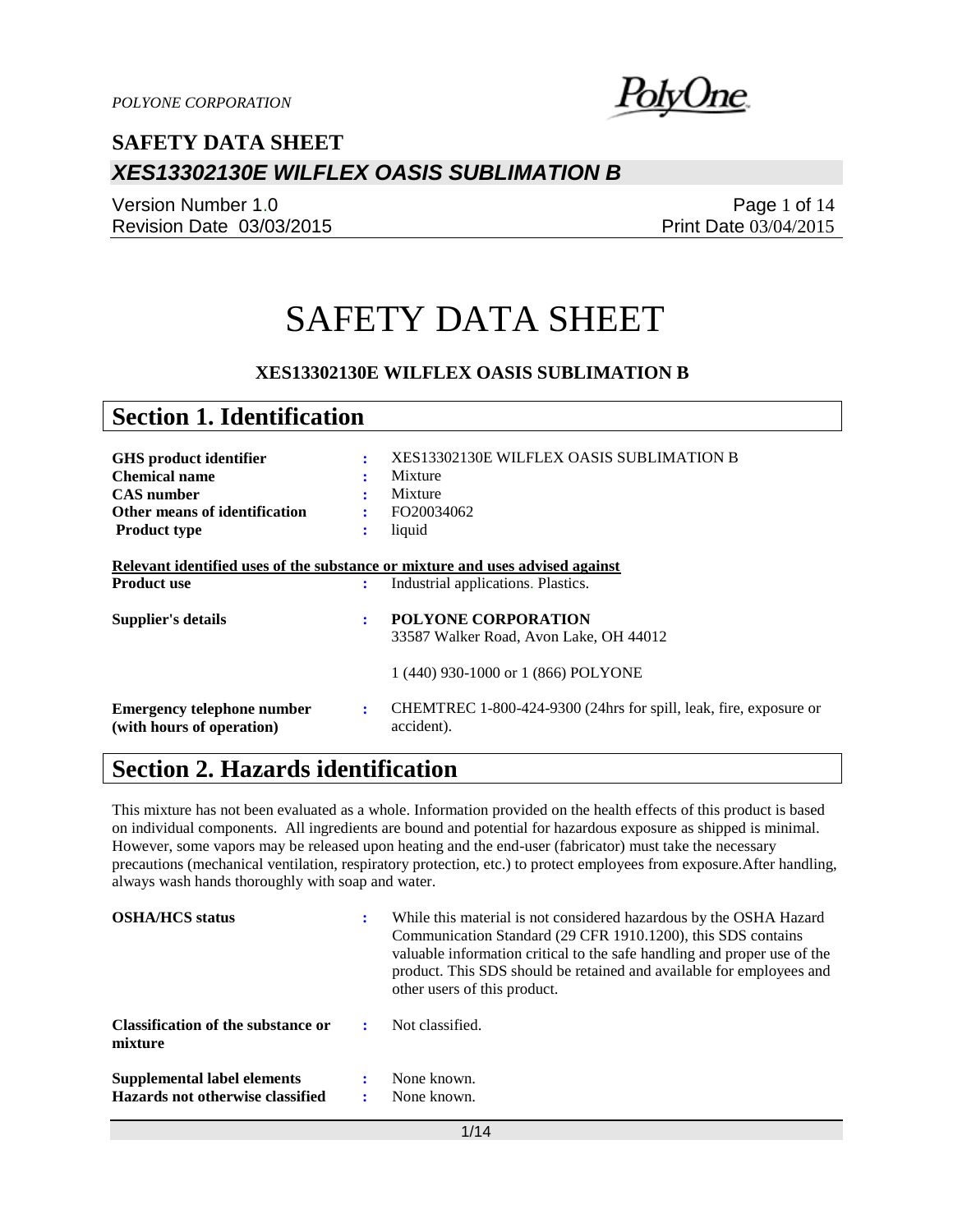

Version Number 1.0 Revision Date 03/03/2015

Page 1 of 14 Print Date 03/04/2015

# SAFETY DATA SHEET

### **XES13302130E WILFLEX OASIS SUBLIMATION B**

| <b>Section 1. Identification</b>                                                                    |                |                                                                                 |
|-----------------------------------------------------------------------------------------------------|----------------|---------------------------------------------------------------------------------|
| <b>GHS</b> product identifier<br><b>Chemical name</b><br><b>CAS</b> number                          | ÷<br>٠         | <b>XES13302130E WILFLEX OASIS SUBLIMATION B</b><br>Mixture<br>Mixture           |
| Other means of identification                                                                       |                | FO20034062                                                                      |
| <b>Product type</b>                                                                                 | ÷              | liquid                                                                          |
| Relevant identified uses of the substance or mixture and uses advised against<br><b>Product use</b> | ÷              | Industrial applications. Plastics.                                              |
| Supplier's details                                                                                  | ÷              | <b>POLYONE CORPORATION</b><br>33587 Walker Road, Avon Lake, OH 44012            |
|                                                                                                     |                | 1 (440) 930-1000 or 1 (866) POLYONE                                             |
| <b>Emergency telephone number</b><br>(with hours of operation)                                      | $\ddot{\cdot}$ | CHEMTREC 1-800-424-9300 (24hrs for spill, leak, fire, exposure or<br>accident). |

# **Section 2. Hazards identification**

This mixture has not been evaluated as a whole. Information provided on the health effects of this product is based on individual components. All ingredients are bound and potential for hazardous exposure as shipped is minimal. However, some vapors may be released upon heating and the end-user (fabricator) must take the necessary precautions (mechanical ventilation, respiratory protection, etc.) to protect employees from exposure.After handling, always wash hands thoroughly with soap and water.

| <b>OSHA/HCS</b> status                                          | : | While this material is not considered hazardous by the OSHA Hazard<br>Communication Standard (29 CFR 1910.1200), this SDS contains<br>valuable information critical to the safe handling and proper use of the<br>product. This SDS should be retained and available for employees and<br>other users of this product. |
|-----------------------------------------------------------------|---|------------------------------------------------------------------------------------------------------------------------------------------------------------------------------------------------------------------------------------------------------------------------------------------------------------------------|
| Classification of the substance or<br>mixture                   |   | Not classified.                                                                                                                                                                                                                                                                                                        |
| Supplemental label elements<br>Hazards not otherwise classified |   | None known.<br>None known.                                                                                                                                                                                                                                                                                             |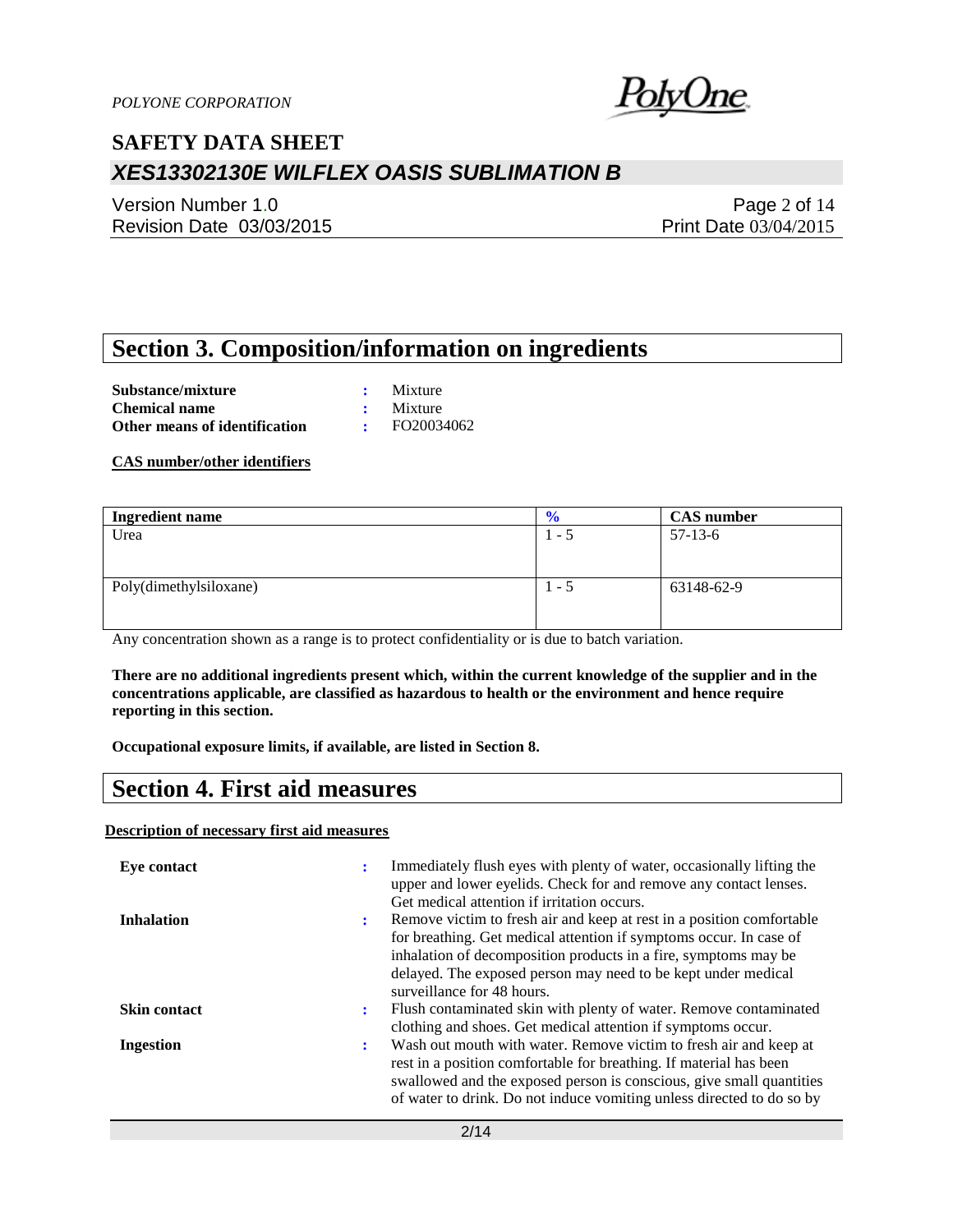

Version Number 1.0 Revision Date 03/03/2015

Page 2 of 14 Print Date 03/04/2015

### **Section 3. Composition/information on ingredients**

**Substance/mixture :** Mixture **Chemical name :** Mixture **Other means of identification :** FO20034062

**CAS number/other identifiers**

| <b>Ingredient name</b> | $\frac{6}{10}$ | <b>CAS</b> number |
|------------------------|----------------|-------------------|
| Urea                   | $1 - 5$        | $57-13-6$         |
|                        |                |                   |
|                        |                |                   |
| Poly(dimethylsiloxane) | $1 - 5$        | 63148-62-9        |
|                        |                |                   |
|                        |                |                   |

Any concentration shown as a range is to protect confidentiality or is due to batch variation.

**There are no additional ingredients present which, within the current knowledge of the supplier and in the concentrations applicable, are classified as hazardous to health or the environment and hence require reporting in this section.**

**Occupational exposure limits, if available, are listed in Section 8.**

### **Section 4. First aid measures**

**Description of necessary first aid measures**

| Eye contact         |   | Immediately flush eyes with plenty of water, occasionally lifting the<br>upper and lower eyelids. Check for and remove any contact lenses.<br>Get medical attention if irritation occurs.                                                                                                                     |
|---------------------|---|---------------------------------------------------------------------------------------------------------------------------------------------------------------------------------------------------------------------------------------------------------------------------------------------------------------|
| <b>Inhalation</b>   | ÷ | Remove victim to fresh air and keep at rest in a position comfortable<br>for breathing. Get medical attention if symptoms occur. In case of<br>inhalation of decomposition products in a fire, symptoms may be<br>delayed. The exposed person may need to be kept under medical<br>surveillance for 48 hours. |
| <b>Skin contact</b> | ÷ | Flush contaminated skin with plenty of water. Remove contaminated<br>clothing and shoes. Get medical attention if symptoms occur.                                                                                                                                                                             |
| <b>Ingestion</b>    | ÷ | Wash out mouth with water. Remove victim to fresh air and keep at<br>rest in a position comfortable for breathing. If material has been<br>swallowed and the exposed person is conscious, give small quantities<br>of water to drink. Do not induce vomiting unless directed to do so by                      |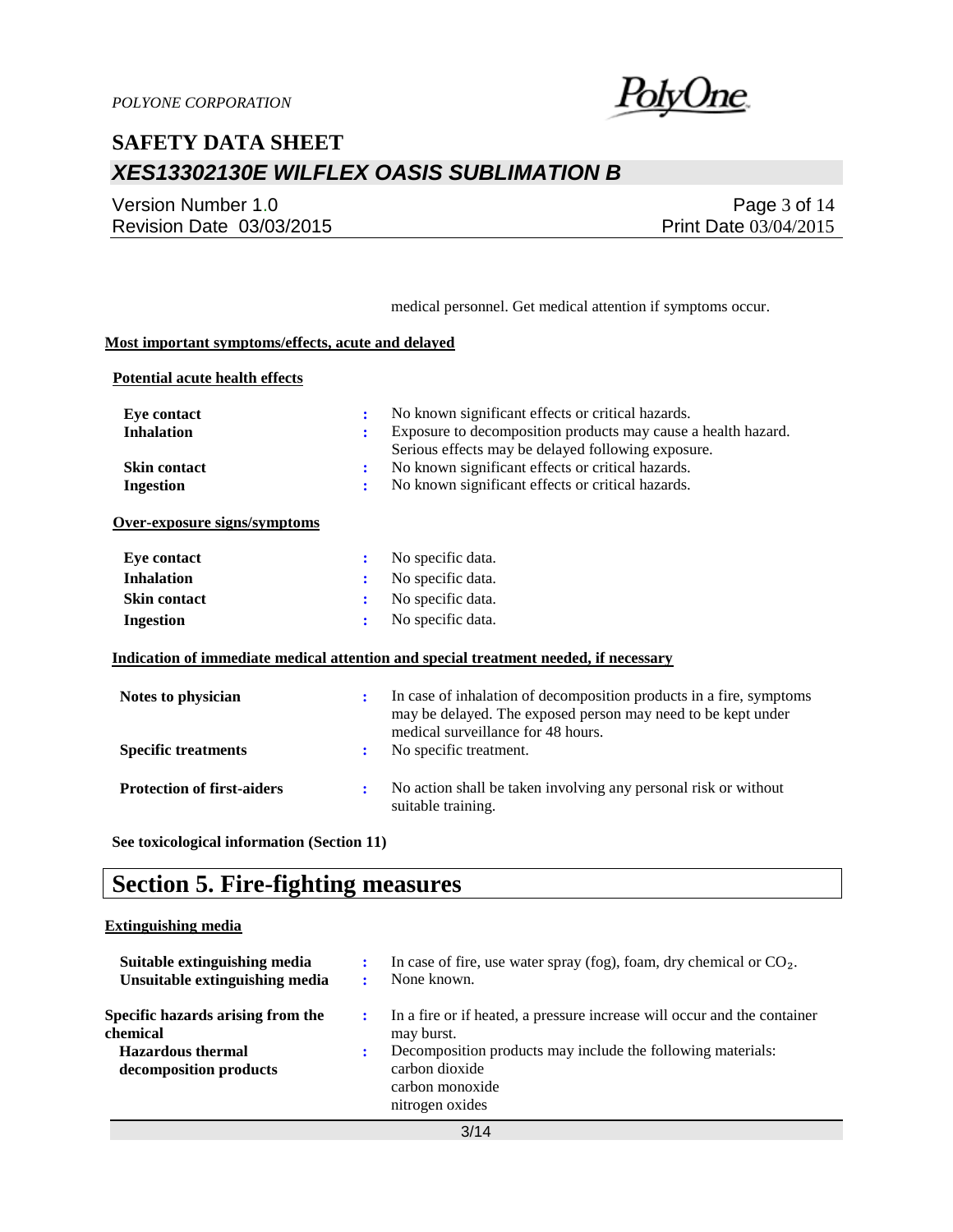

Version Number 1.0 Revision Date 03/03/2015

Page 3 of 14 Print Date 03/04/2015

medical personnel. Get medical attention if symptoms occur.

### **Most important symptoms/effects, acute and delayed**

#### **Potential acute health effects**

| <b>Eye contact</b><br><b>Inhalation</b><br><b>Skin contact</b><br><b>Ingestion</b> | ÷<br>÷<br>÷<br>÷     | No known significant effects or critical hazards.<br>Exposure to decomposition products may cause a health hazard.<br>Serious effects may be delayed following exposure.<br>No known significant effects or critical hazards.<br>No known significant effects or critical hazards. |
|------------------------------------------------------------------------------------|----------------------|------------------------------------------------------------------------------------------------------------------------------------------------------------------------------------------------------------------------------------------------------------------------------------|
| Over-exposure signs/symptoms                                                       |                      |                                                                                                                                                                                                                                                                                    |
| <b>Eye contact</b>                                                                 | ÷                    | No specific data.                                                                                                                                                                                                                                                                  |
| <b>Inhalation</b>                                                                  | ÷                    | No specific data.                                                                                                                                                                                                                                                                  |
| <b>Skin contact</b>                                                                | ÷                    | No specific data.                                                                                                                                                                                                                                                                  |
| <b>Ingestion</b>                                                                   | ÷                    | No specific data.                                                                                                                                                                                                                                                                  |
|                                                                                    |                      | Indication of immediate medical attention and special treatment needed, if necessary                                                                                                                                                                                               |
| Notes to physician                                                                 | $\ddot{\phantom{a}}$ | In case of inhalation of decomposition products in a fire, symptoms<br>may be delayed. The exposed person may need to be kept under<br>medical surveillance for 48 hours.                                                                                                          |
| <b>Specific treatments</b>                                                         | $\ddot{\cdot}$       | No specific treatment.                                                                                                                                                                                                                                                             |
| <b>Protection of first-aiders</b>                                                  | ÷                    | No action shall be taken involving any personal risk or without<br>suitable training.                                                                                                                                                                                              |

**See toxicological information (Section 11)**

### **Section 5. Fire-fighting measures**

#### **Extinguishing media**

| Suitable extinguishing media<br>Unsuitable extinguishing media                                      | In case of fire, use water spray (fog), foam, dry chemical or $CO2$ .<br>None known.                                                                                                                          |
|-----------------------------------------------------------------------------------------------------|---------------------------------------------------------------------------------------------------------------------------------------------------------------------------------------------------------------|
| Specific hazards arising from the<br>chemical<br><b>Hazardous thermal</b><br>decomposition products | In a fire or if heated, a pressure increase will occur and the container<br>may burst.<br>Decomposition products may include the following materials:<br>carbon dioxide<br>carbon monoxide<br>nitrogen oxides |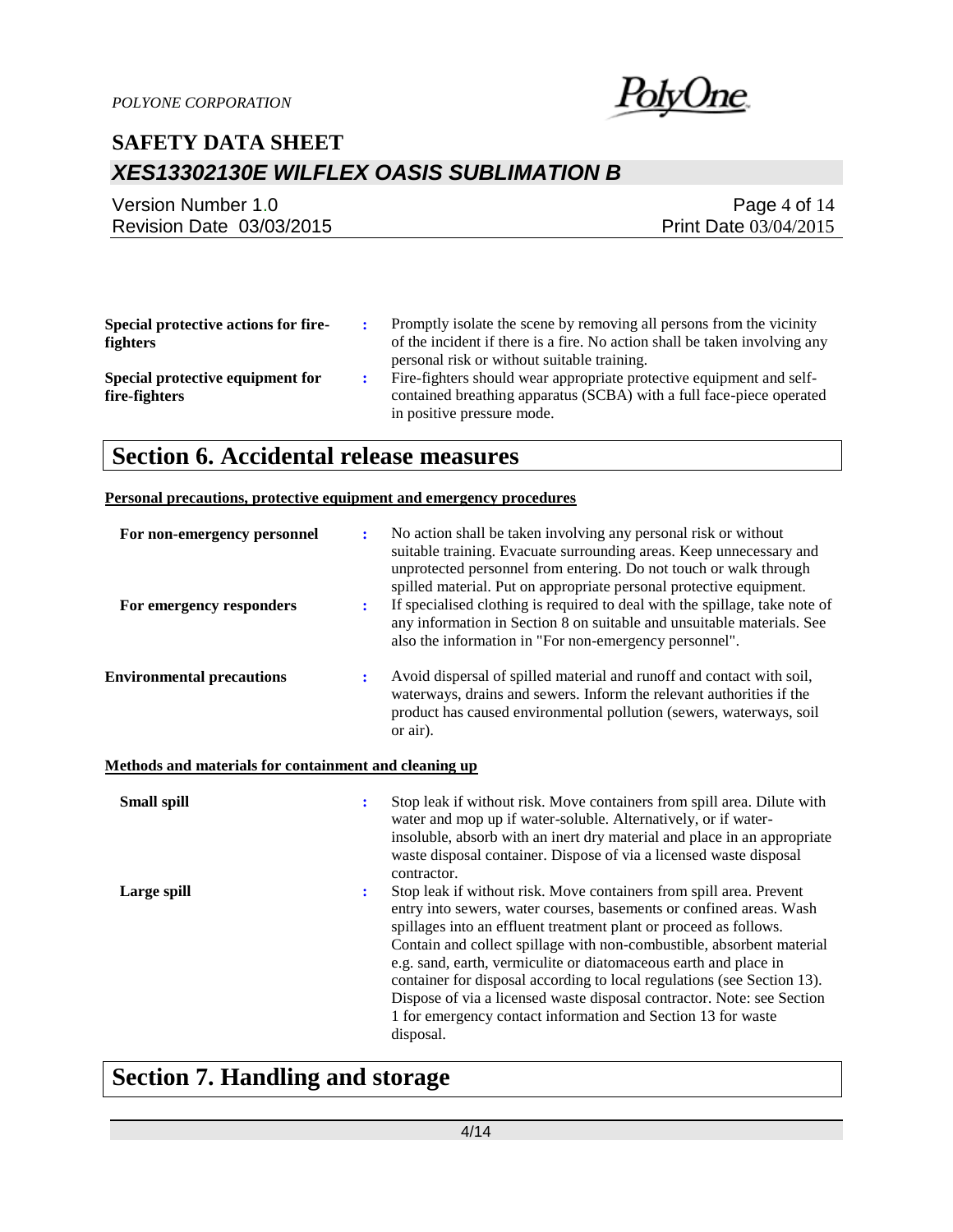

| Version Number 1.0       | Page 4 of $14$               |
|--------------------------|------------------------------|
| Revision Date 03/03/2015 | <b>Print Date 03/04/2015</b> |

| Special protective actions for fire-<br><b>fighters</b> | Promptly isolate the scene by removing all persons from the vicinity<br>of the incident if there is a fire. No action shall be taken involving any<br>personal risk or without suitable training. |
|---------------------------------------------------------|---------------------------------------------------------------------------------------------------------------------------------------------------------------------------------------------------|
| Special protective equipment for<br>fire-fighters       | Fire-fighters should wear appropriate protective equipment and self-<br>contained breathing apparatus (SCBA) with a full face-piece operated<br>in positive pressure mode.                        |

### **Section 6. Accidental release measures**

#### **Personal precautions, protective equipment and emergency procedures**

| For non-emergency personnel                           | $\ddot{\cdot}$ | No action shall be taken involving any personal risk or without<br>suitable training. Evacuate surrounding areas. Keep unnecessary and<br>unprotected personnel from entering. Do not touch or walk through<br>spilled material. Put on appropriate personal protective equipment.                                                                                                                                                                                                                                                                                                             |
|-------------------------------------------------------|----------------|------------------------------------------------------------------------------------------------------------------------------------------------------------------------------------------------------------------------------------------------------------------------------------------------------------------------------------------------------------------------------------------------------------------------------------------------------------------------------------------------------------------------------------------------------------------------------------------------|
| For emergency responders                              | $\ddot{\cdot}$ | If specialised clothing is required to deal with the spillage, take note of<br>any information in Section 8 on suitable and unsuitable materials. See<br>also the information in "For non-emergency personnel".                                                                                                                                                                                                                                                                                                                                                                                |
| <b>Environmental precautions</b>                      | $\ddot{\cdot}$ | Avoid dispersal of spilled material and runoff and contact with soil,<br>waterways, drains and sewers. Inform the relevant authorities if the<br>product has caused environmental pollution (sewers, waterways, soil<br>or air).                                                                                                                                                                                                                                                                                                                                                               |
| Methods and materials for containment and cleaning up |                |                                                                                                                                                                                                                                                                                                                                                                                                                                                                                                                                                                                                |
| <b>Small spill</b>                                    | $\ddot{\cdot}$ | Stop leak if without risk. Move containers from spill area. Dilute with<br>water and mop up if water-soluble. Alternatively, or if water-<br>insoluble, absorb with an inert dry material and place in an appropriate<br>waste disposal container. Dispose of via a licensed waste disposal<br>contractor.                                                                                                                                                                                                                                                                                     |
| Large spill                                           | $\ddot{\cdot}$ | Stop leak if without risk. Move containers from spill area. Prevent<br>entry into sewers, water courses, basements or confined areas. Wash<br>spillages into an effluent treatment plant or proceed as follows.<br>Contain and collect spillage with non-combustible, absorbent material<br>e.g. sand, earth, vermiculite or diatomaceous earth and place in<br>container for disposal according to local regulations (see Section 13).<br>Dispose of via a licensed waste disposal contractor. Note: see Section<br>1 for emergency contact information and Section 13 for waste<br>disposal. |

# **Section 7. Handling and storage**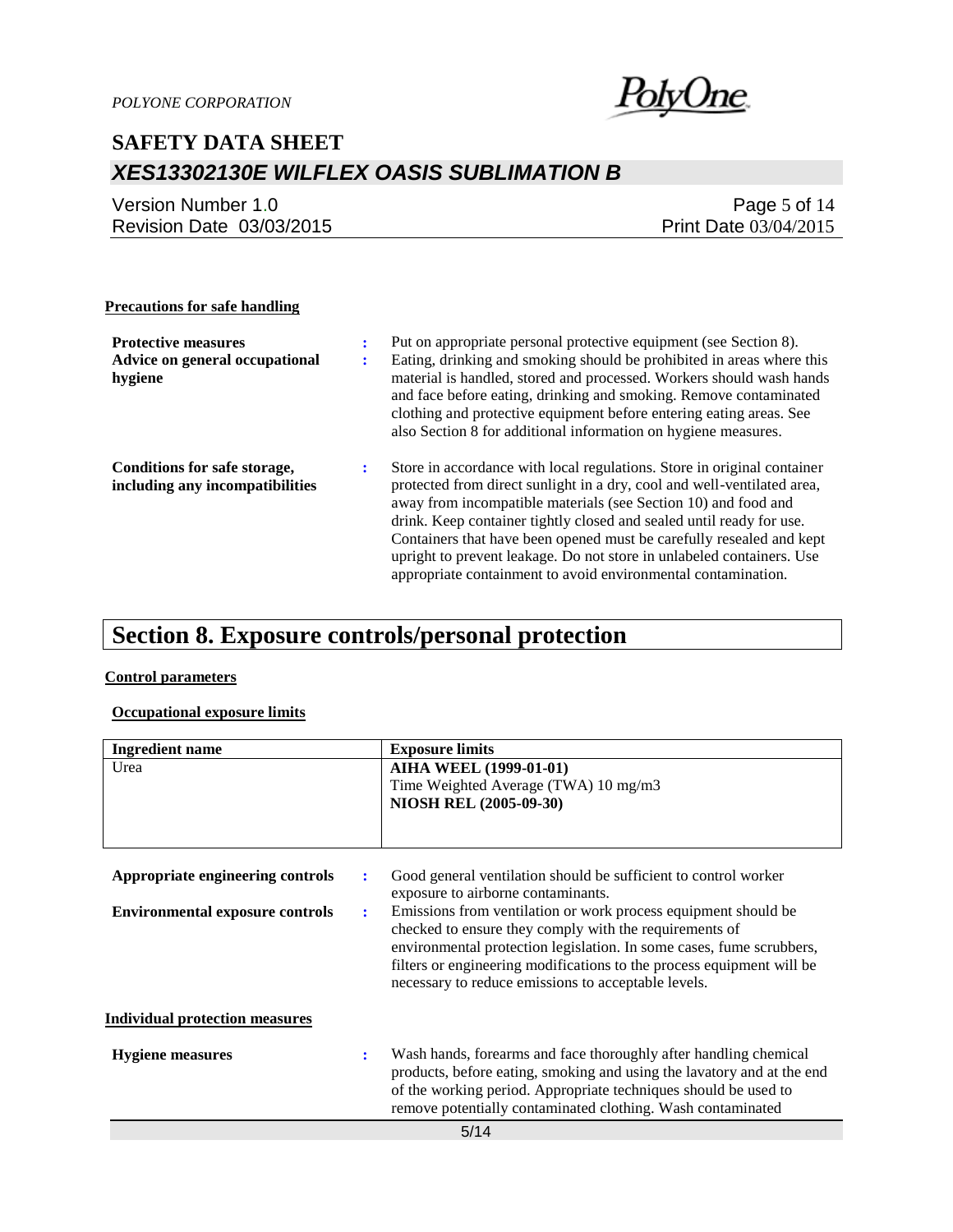

| Version Number 1.0       | Page 5 of $14$        |
|--------------------------|-----------------------|
| Revision Date 03/03/2015 | Print Date 03/04/2015 |

#### **Precautions for safe handling**

| <b>Protective measures</b><br>Advice on general occupational<br>hygiene | ٠ | Put on appropriate personal protective equipment (see Section 8).<br>Eating, drinking and smoking should be prohibited in areas where this<br>material is handled, stored and processed. Workers should wash hands<br>and face before eating, drinking and smoking. Remove contaminated<br>clothing and protective equipment before entering eating areas. See<br>also Section 8 for additional information on hygiene measures.                                                                               |
|-------------------------------------------------------------------------|---|----------------------------------------------------------------------------------------------------------------------------------------------------------------------------------------------------------------------------------------------------------------------------------------------------------------------------------------------------------------------------------------------------------------------------------------------------------------------------------------------------------------|
| Conditions for safe storage,<br>including any incompatibilities         |   | Store in accordance with local regulations. Store in original container<br>protected from direct sunlight in a dry, cool and well-ventilated area,<br>away from incompatible materials (see Section 10) and food and<br>drink. Keep container tightly closed and sealed until ready for use.<br>Containers that have been opened must be carefully resealed and kept<br>upright to prevent leakage. Do not store in unlabeled containers. Use<br>appropriate containment to avoid environmental contamination. |

# **Section 8. Exposure controls/personal protection**

### **Control parameters**

### **Occupational exposure limits**

| <b>Ingredient name</b>                      | <b>Exposure limits</b>                                                                                |
|---------------------------------------------|-------------------------------------------------------------------------------------------------------|
| Urea                                        | <b>AIHA WEEL (1999-01-01)</b>                                                                         |
|                                             | Time Weighted Average (TWA) 10 mg/m3                                                                  |
|                                             | NIOSH REL (2005-09-30)                                                                                |
|                                             |                                                                                                       |
|                                             |                                                                                                       |
| Appropriate engineering controls<br>÷       | Good general ventilation should be sufficient to control worker<br>exposure to airborne contaminants. |
| <b>Environmental exposure controls</b><br>÷ | Emissions from ventilation or work process equipment should be                                        |
|                                             | checked to ensure they comply with the requirements of                                                |
|                                             | environmental protection legislation. In some cases, fume scrubbers,                                  |
|                                             | filters or engineering modifications to the process equipment will be                                 |
|                                             | necessary to reduce emissions to acceptable levels.                                                   |
|                                             |                                                                                                       |
| <b>Individual protection measures</b>       |                                                                                                       |
| <b>Hygiene</b> measures                     | Wash hands, forearms and face thoroughly after handling chemical                                      |
|                                             | products, before eating, smoking and using the lavatory and at the end                                |
|                                             | of the working period. Appropriate techniques should be used to                                       |
|                                             | remove potentially contaminated clothing. Wash contaminated                                           |
|                                             | 5/14                                                                                                  |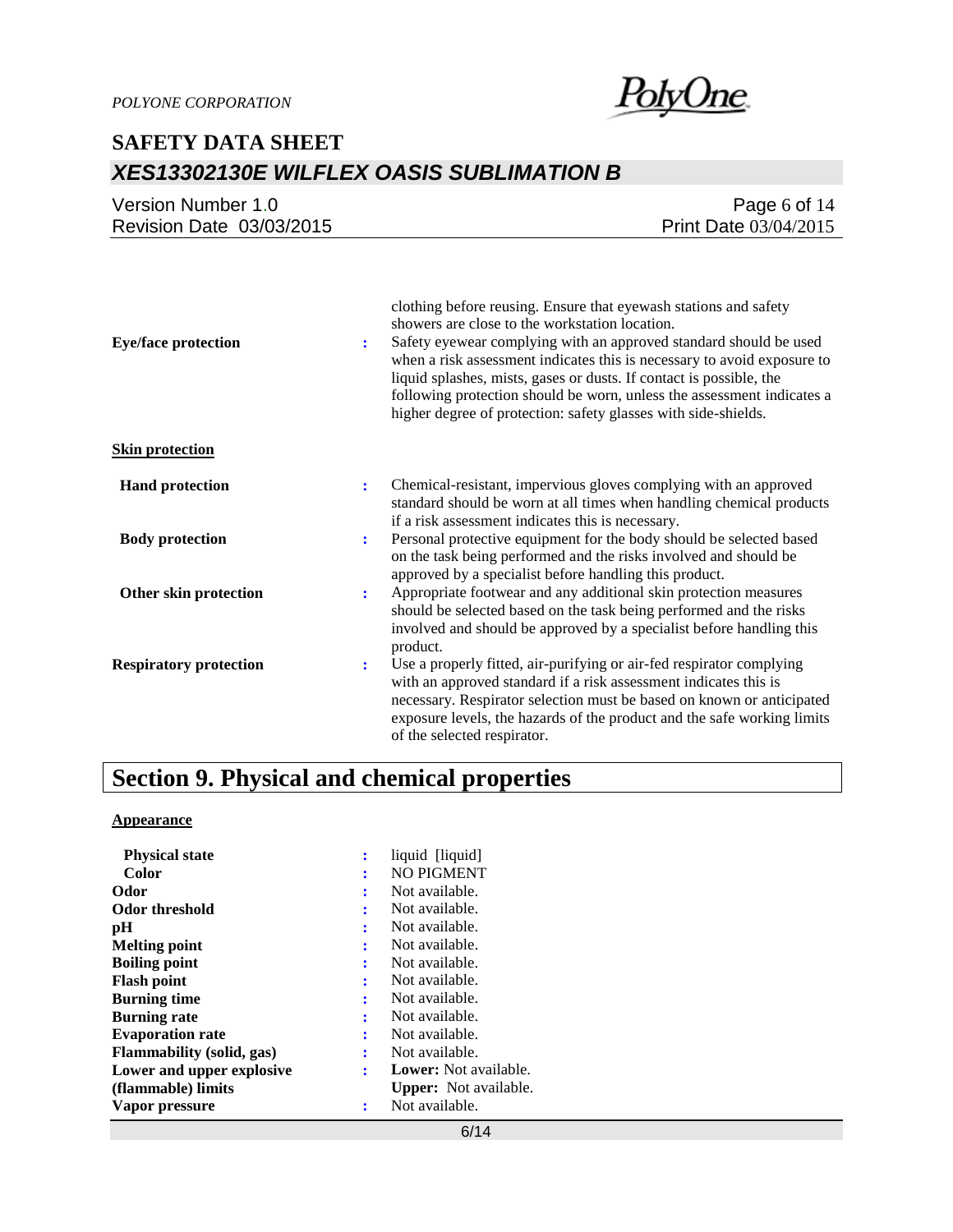

| Version Number 1.0       | Page 6 of $14$               |
|--------------------------|------------------------------|
| Revision Date 03/03/2015 | <b>Print Date 03/04/2015</b> |

| <b>Eye/face protection</b>    | clothing before reusing. Ensure that eyewash stations and safety<br>showers are close to the workstation location.<br>Safety eyewear complying with an approved standard should be used<br>÷<br>when a risk assessment indicates this is necessary to avoid exposure to<br>liquid splashes, mists, gases or dusts. If contact is possible, the<br>following protection should be worn, unless the assessment indicates a<br>higher degree of protection: safety glasses with side-shields. |
|-------------------------------|--------------------------------------------------------------------------------------------------------------------------------------------------------------------------------------------------------------------------------------------------------------------------------------------------------------------------------------------------------------------------------------------------------------------------------------------------------------------------------------------|
| <b>Skin protection</b>        |                                                                                                                                                                                                                                                                                                                                                                                                                                                                                            |
| <b>Hand protection</b>        | Chemical-resistant, impervious gloves complying with an approved<br>÷<br>standard should be worn at all times when handling chemical products<br>if a risk assessment indicates this is necessary.                                                                                                                                                                                                                                                                                         |
| <b>Body protection</b>        | Personal protective equipment for the body should be selected based<br>$\ddot{\cdot}$<br>on the task being performed and the risks involved and should be<br>approved by a specialist before handling this product.                                                                                                                                                                                                                                                                        |
| Other skin protection         | Appropriate footwear and any additional skin protection measures<br>÷<br>should be selected based on the task being performed and the risks<br>involved and should be approved by a specialist before handling this<br>product.                                                                                                                                                                                                                                                            |
| <b>Respiratory protection</b> | Use a properly fitted, air-purifying or air-fed respirator complying<br>÷<br>with an approved standard if a risk assessment indicates this is<br>necessary. Respirator selection must be based on known or anticipated<br>exposure levels, the hazards of the product and the safe working limits<br>of the selected respirator.                                                                                                                                                           |

# **Section 9. Physical and chemical properties**

#### **Appearance**

| <b>Physical state</b>            | ÷              | liquid [liquid]              |
|----------------------------------|----------------|------------------------------|
| Color                            | ÷              | <b>NO PIGMENT</b>            |
| Odor                             | ÷              | Not available.               |
| <b>Odor threshold</b>            | ÷              | Not available.               |
| рH                               | ፡              | Not available.               |
| <b>Melting point</b>             | ፡              | Not available.               |
| <b>Boiling point</b>             | ÷              | Not available.               |
| <b>Flash point</b>               | ٠              | Not available.               |
| <b>Burning time</b>              | ÷              | Not available.               |
| <b>Burning rate</b>              | ÷              | Not available.               |
| <b>Evaporation rate</b>          | ÷              | Not available.               |
| <b>Flammability (solid, gas)</b> | ÷              | Not available.               |
| Lower and upper explosive        | $\ddot{\cdot}$ | <b>Lower:</b> Not available. |
| (flammable) limits               |                | <b>Upper:</b> Not available. |
| Vapor pressure                   | ፡              | Not available.               |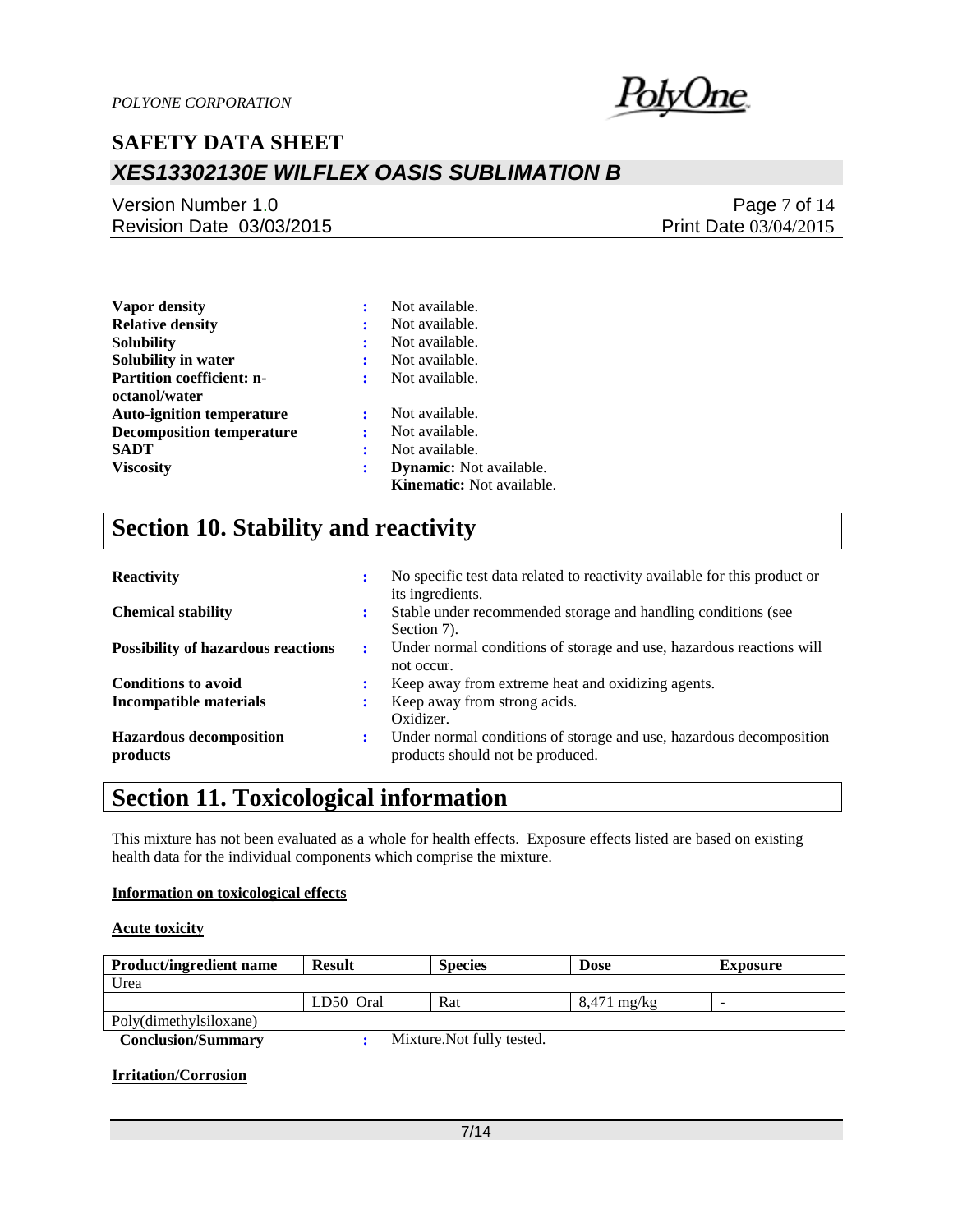

### Version Number 1.0 Revision Date 03/03/2015

### Page 7 of 14 Print Date 03/04/2015

| <b>Vapor density</b>             | ፡ | Not available.                   |
|----------------------------------|---|----------------------------------|
| <b>Relative density</b>          | ÷ | Not available.                   |
| Solubility                       | ÷ | Not available.                   |
| Solubility in water              | : | Not available.                   |
| <b>Partition coefficient: n-</b> | ÷ | Not available.                   |
| octanol/water                    |   |                                  |
| <b>Auto-ignition temperature</b> | ÷ | Not available.                   |
| <b>Decomposition temperature</b> | ÷ | Not available.                   |
| SADT                             | ÷ | Not available.                   |
| <b>Viscosity</b>                 | ÷ | <b>Dynamic:</b> Not available.   |
|                                  |   | <b>Kinematic:</b> Not available. |

# **Section 10. Stability and reactivity**

| <b>Reactivity</b>                          | ٠                    | No specific test data related to reactivity available for this product or<br>its ingredients.           |
|--------------------------------------------|----------------------|---------------------------------------------------------------------------------------------------------|
| <b>Chemical stability</b>                  | ٠                    | Stable under recommended storage and handling conditions (see<br>Section 7).                            |
| <b>Possibility of hazardous reactions</b>  | $\ddot{\phantom{a}}$ | Under normal conditions of storage and use, hazardous reactions will<br>not occur.                      |
| <b>Conditions to avoid</b>                 |                      | Keep away from extreme heat and oxidizing agents.                                                       |
| <b>Incompatible materials</b>              |                      | Keep away from strong acids.<br>Oxidizer.                                                               |
| <b>Hazardous decomposition</b><br>products | ÷                    | Under normal conditions of storage and use, hazardous decomposition<br>products should not be produced. |

### **Section 11. Toxicological information**

This mixture has not been evaluated as a whole for health effects. Exposure effects listed are based on existing health data for the individual components which comprise the mixture.

#### **Information on toxicological effects**

#### **Acute toxicity**

| <b>Product/ingredient name</b> | <b>Result</b> | <b>Species</b> | <b>Dose</b>   | Exposure |
|--------------------------------|---------------|----------------|---------------|----------|
| Urea                           |               |                |               |          |
|                                | LD50 Oral     | Rat            | $8,471$ mg/kg | -        |
| Poly(dimethylsiloxane)         |               |                |               |          |

 **Conclusion/Summary :** Mixture.Not fully tested.

#### **Irritation/Corrosion**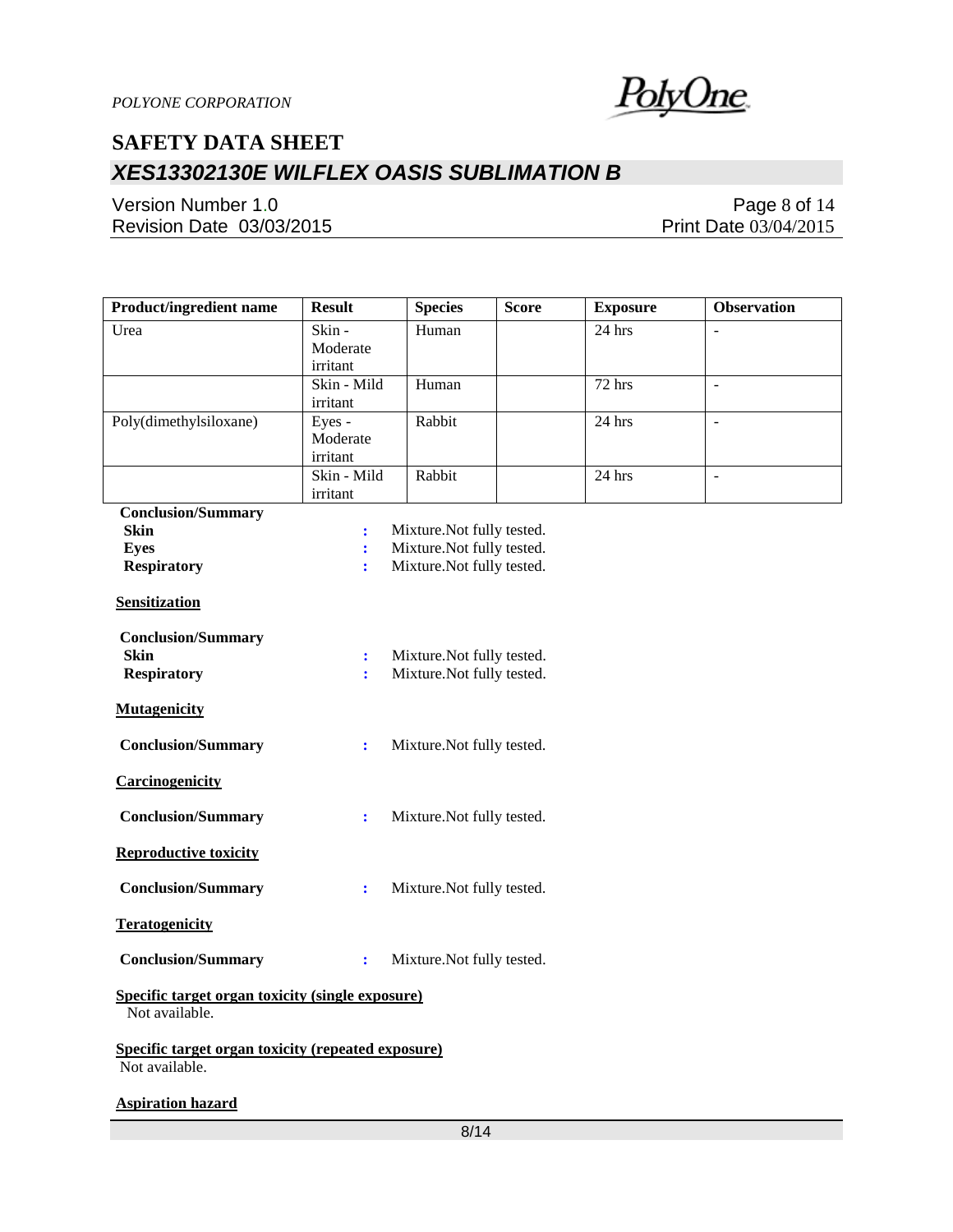

Version Number 1.0 Revision Date 03/03/2015

Page 8 of 14 Print Date 03/04/2015

| Product/ingredient name                                              | <b>Result</b>        | <b>Species</b>            | Score | <b>Exposure</b> | <b>Observation</b> |
|----------------------------------------------------------------------|----------------------|---------------------------|-------|-----------------|--------------------|
| Urea                                                                 | Skin-                | Human                     |       | $24$ hrs        |                    |
|                                                                      | Moderate             |                           |       |                 |                    |
|                                                                      | irritant             |                           |       |                 |                    |
|                                                                      | Skin - Mild          | Human                     |       | 72 hrs          | $\overline{a}$     |
|                                                                      | irritant             |                           |       |                 |                    |
| Poly(dimethylsiloxane)                                               | Eyes -<br>Moderate   | Rabbit                    |       | 24 hrs          | $\sim$             |
|                                                                      | irritant             |                           |       |                 |                    |
|                                                                      | Skin - Mild          | Rabbit                    |       | 24 hrs          | $\overline{a}$     |
|                                                                      | irritant             |                           |       |                 |                    |
| <b>Conclusion/Summary</b>                                            |                      |                           |       |                 |                    |
| <b>Skin</b>                                                          | $\ddot{\cdot}$       | Mixture.Not fully tested. |       |                 |                    |
| <b>Eyes</b>                                                          | $\ddot{\cdot}$       | Mixture.Not fully tested. |       |                 |                    |
| <b>Respiratory</b>                                                   | ÷                    | Mixture.Not fully tested. |       |                 |                    |
| <b>Sensitization</b>                                                 |                      |                           |       |                 |                    |
| <b>Conclusion/Summary</b>                                            |                      |                           |       |                 |                    |
| Skin                                                                 | $\ddot{\phantom{a}}$ | Mixture.Not fully tested. |       |                 |                    |
| <b>Respiratory</b>                                                   | ÷                    | Mixture.Not fully tested. |       |                 |                    |
|                                                                      |                      |                           |       |                 |                    |
| <b>Mutagenicity</b>                                                  |                      |                           |       |                 |                    |
| <b>Conclusion/Summary</b>                                            | $\ddot{\cdot}$       | Mixture.Not fully tested. |       |                 |                    |
| Carcinogenicity                                                      |                      |                           |       |                 |                    |
| <b>Conclusion/Summary</b>                                            | $\ddot{\cdot}$       | Mixture.Not fully tested. |       |                 |                    |
| <b>Reproductive toxicity</b>                                         |                      |                           |       |                 |                    |
| <b>Conclusion/Summary</b>                                            | $\ddot{\cdot}$       | Mixture.Not fully tested. |       |                 |                    |
| <b>Teratogenicity</b>                                                |                      |                           |       |                 |                    |
| <b>Conclusion/Summary</b>                                            | $\ddot{\cdot}$       | Mixture.Not fully tested. |       |                 |                    |
| Specific target organ toxicity (single exposure)<br>Not available.   |                      |                           |       |                 |                    |
| Specific target organ toxicity (repeated exposure)<br>Not available. |                      |                           |       |                 |                    |
| <b>Aspiration hazard</b>                                             |                      |                           |       |                 |                    |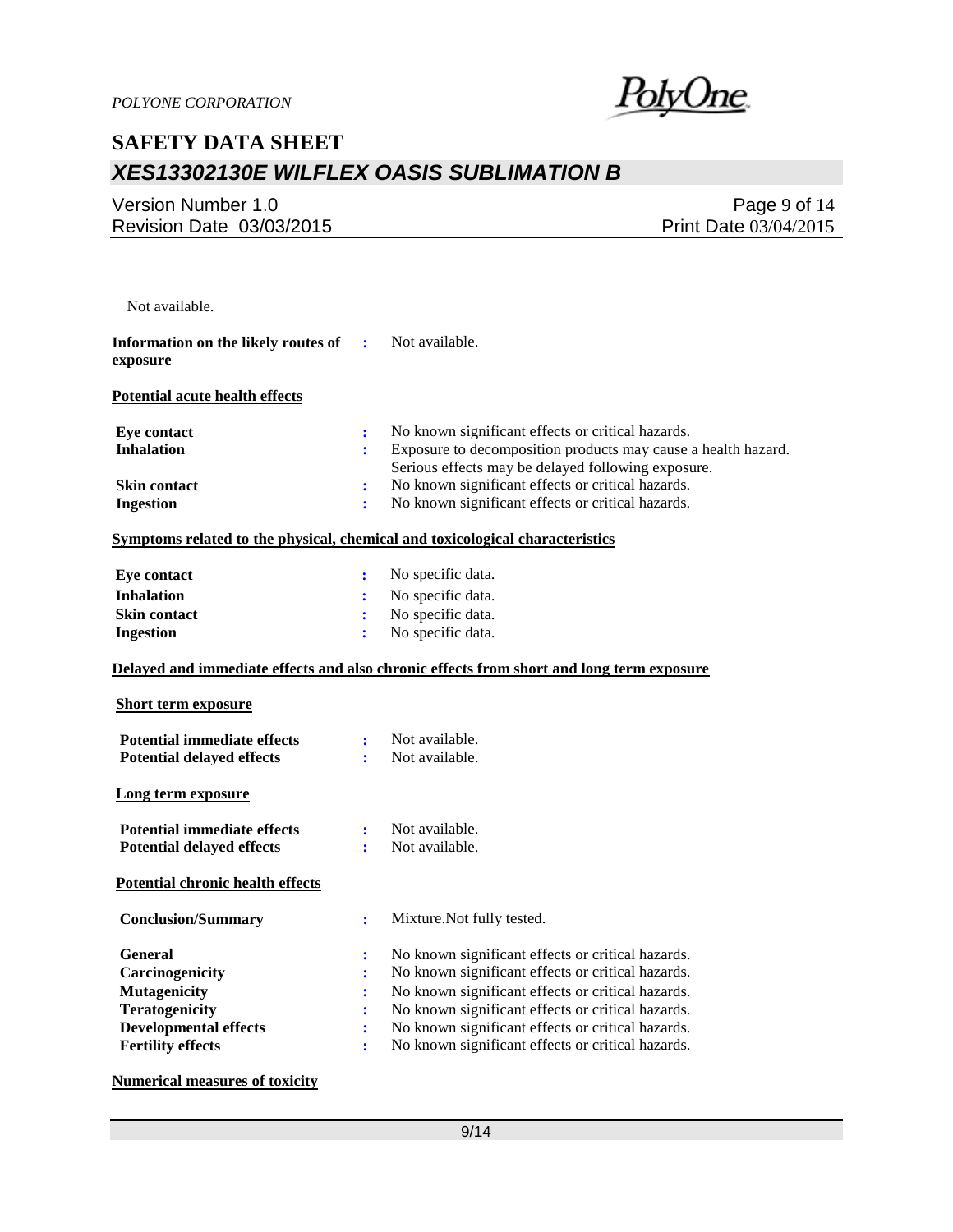

Version Number 1.0 Revision Date 03/03/2015

Page 9 of 14 Print Date 03/04/2015

| Not available.                                                                                                                                |                                                                                |                                                                                                                                                                                                                                                                                                                            |
|-----------------------------------------------------------------------------------------------------------------------------------------------|--------------------------------------------------------------------------------|----------------------------------------------------------------------------------------------------------------------------------------------------------------------------------------------------------------------------------------------------------------------------------------------------------------------------|
| Information on the likely routes of<br>exposure                                                                                               | ÷                                                                              | Not available.                                                                                                                                                                                                                                                                                                             |
| <b>Potential acute health effects</b>                                                                                                         |                                                                                |                                                                                                                                                                                                                                                                                                                            |
| <b>Eye contact</b><br><b>Inhalation</b>                                                                                                       | $\ddot{\cdot}$<br>÷                                                            | No known significant effects or critical hazards.<br>Exposure to decomposition products may cause a health hazard.<br>Serious effects may be delayed following exposure.                                                                                                                                                   |
| <b>Skin contact</b><br><b>Ingestion</b>                                                                                                       | $\ddot{\cdot}$<br>÷                                                            | No known significant effects or critical hazards.<br>No known significant effects or critical hazards.                                                                                                                                                                                                                     |
| Symptoms related to the physical, chemical and toxicological characteristics                                                                  |                                                                                |                                                                                                                                                                                                                                                                                                                            |
| <b>Eye contact</b><br><b>Inhalation</b><br>Skin contact<br><b>Ingestion</b>                                                                   | $\ddot{\cdot}$<br>÷<br>÷<br>÷                                                  | No specific data.<br>No specific data.<br>No specific data.<br>No specific data.                                                                                                                                                                                                                                           |
|                                                                                                                                               |                                                                                | Delayed and immediate effects and also chronic effects from short and long term exposure                                                                                                                                                                                                                                   |
| <b>Short term exposure</b>                                                                                                                    |                                                                                |                                                                                                                                                                                                                                                                                                                            |
| <b>Potential immediate effects</b><br><b>Potential delayed effects</b>                                                                        | ÷<br>÷                                                                         | Not available.<br>Not available.                                                                                                                                                                                                                                                                                           |
| Long term exposure                                                                                                                            |                                                                                |                                                                                                                                                                                                                                                                                                                            |
| <b>Potential immediate effects</b><br><b>Potential delayed effects</b>                                                                        | ÷<br>÷                                                                         | Not available.<br>Not available.                                                                                                                                                                                                                                                                                           |
| <b>Potential chronic health effects</b>                                                                                                       |                                                                                |                                                                                                                                                                                                                                                                                                                            |
| <b>Conclusion/Summary</b>                                                                                                                     | ÷                                                                              | Mixture.Not fully tested.                                                                                                                                                                                                                                                                                                  |
| <b>General</b><br>Carcinogenicity<br><b>Mutagenicity</b><br><b>Teratogenicity</b><br><b>Developmental effects</b><br><b>Fertility effects</b> | :<br>$\ddot{\cdot}$<br>$\ddot{\cdot}$<br>÷<br>$\ddot{\cdot}$<br>$\ddot{\cdot}$ | No known significant effects or critical hazards.<br>No known significant effects or critical hazards.<br>No known significant effects or critical hazards.<br>No known significant effects or critical hazards.<br>No known significant effects or critical hazards.<br>No known significant effects or critical hazards. |

**Numerical measures of toxicity**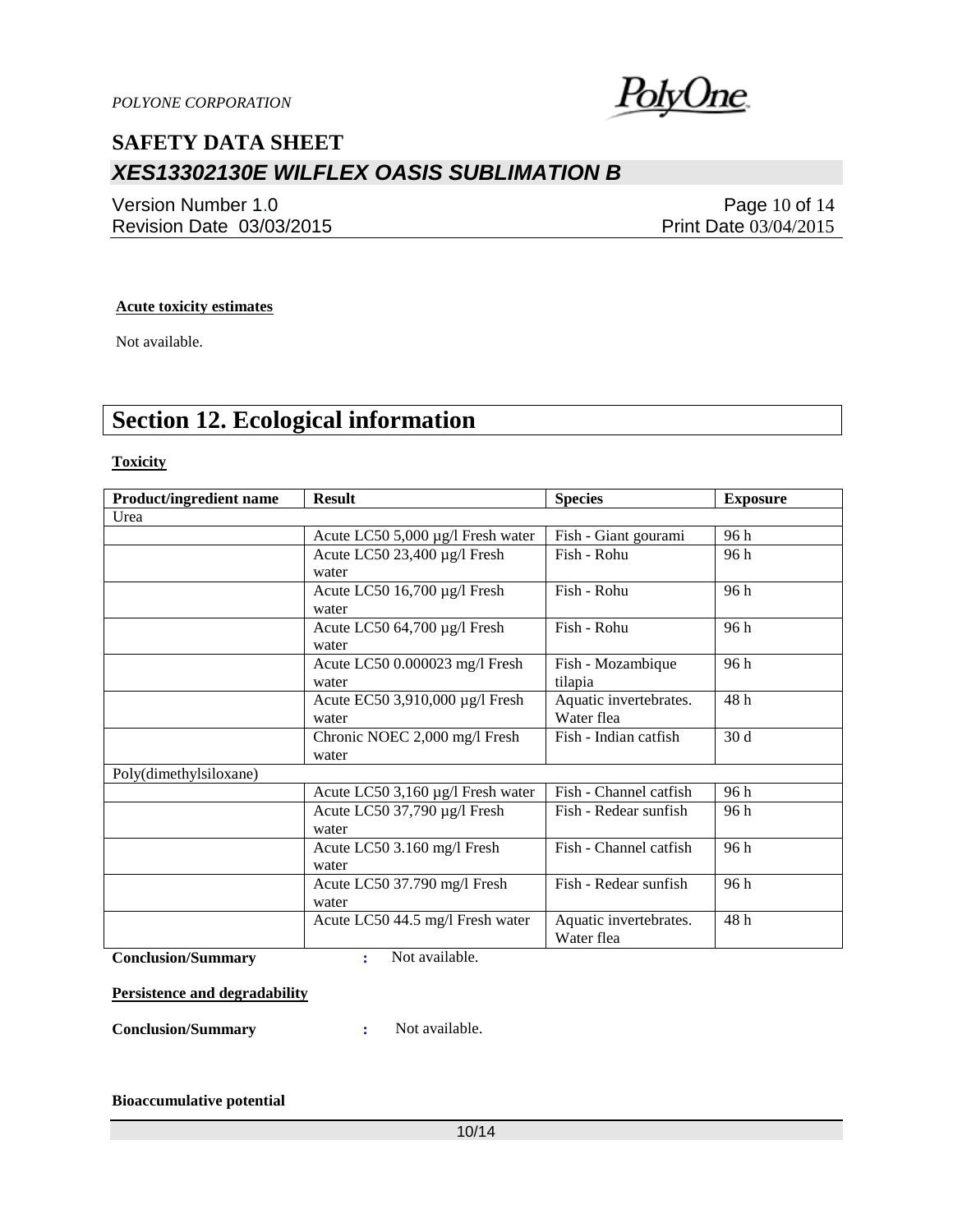

Version Number 1.0 Revision Date 03/03/2015

Page 10 of 14 Print Date 03/04/2015

#### **Acute toxicity estimates**

Not available.

# **Section 12. Ecological information**

**Toxicity**

| <b>Product/ingredient name</b> | <b>Result</b>                     | <b>Species</b>         | <b>Exposure</b> |
|--------------------------------|-----------------------------------|------------------------|-----------------|
| Urea                           |                                   |                        |                 |
|                                | Acute LC50 5,000 µg/l Fresh water | Fish - Giant gourami   | 96 h            |
|                                | Acute LC50 23,400 µg/l Fresh      | Fish - Rohu            | 96 h            |
|                                | water                             |                        |                 |
|                                | Acute LC50 16,700 µg/l Fresh      | Fish - Rohu            | 96 h            |
|                                | water                             |                        |                 |
|                                | Acute LC50 64,700 µg/l Fresh      | Fish - Rohu            | 96 h            |
|                                | water                             |                        |                 |
|                                | Acute LC50 0.000023 mg/l Fresh    | Fish - Mozambique      | 96 h            |
|                                | water                             | tilapia                |                 |
|                                | Acute EC50 3,910,000 µg/l Fresh   | Aquatic invertebrates. | 48h             |
|                                | water                             | Water flea             |                 |
|                                | Chronic NOEC 2,000 mg/l Fresh     | Fish - Indian catfish  | 30d             |
|                                | water                             |                        |                 |
| Poly(dimethylsiloxane)         |                                   |                        |                 |
|                                | Acute LC50 3,160 µg/l Fresh water | Fish - Channel catfish | 96 h            |
|                                | Acute LC50 37,790 µg/l Fresh      | Fish - Redear sunfish  | 96 h            |
|                                | water                             |                        |                 |
|                                | Acute LC50 3.160 mg/l Fresh       | Fish - Channel catfish | 96h             |
|                                | water                             |                        |                 |
|                                | Acute LC50 37.790 mg/l Fresh      | Fish - Redear sunfish  | 96 h            |
|                                | water                             |                        |                 |
|                                | Acute LC50 44.5 mg/l Fresh water  | Aquatic invertebrates. | 48h             |
|                                |                                   | Water flea             |                 |

**Conclusion/Summary :** Not available.

**Persistence and degradability**

**Conclusion/Summary :** Not available.

#### **Bioaccumulative potential**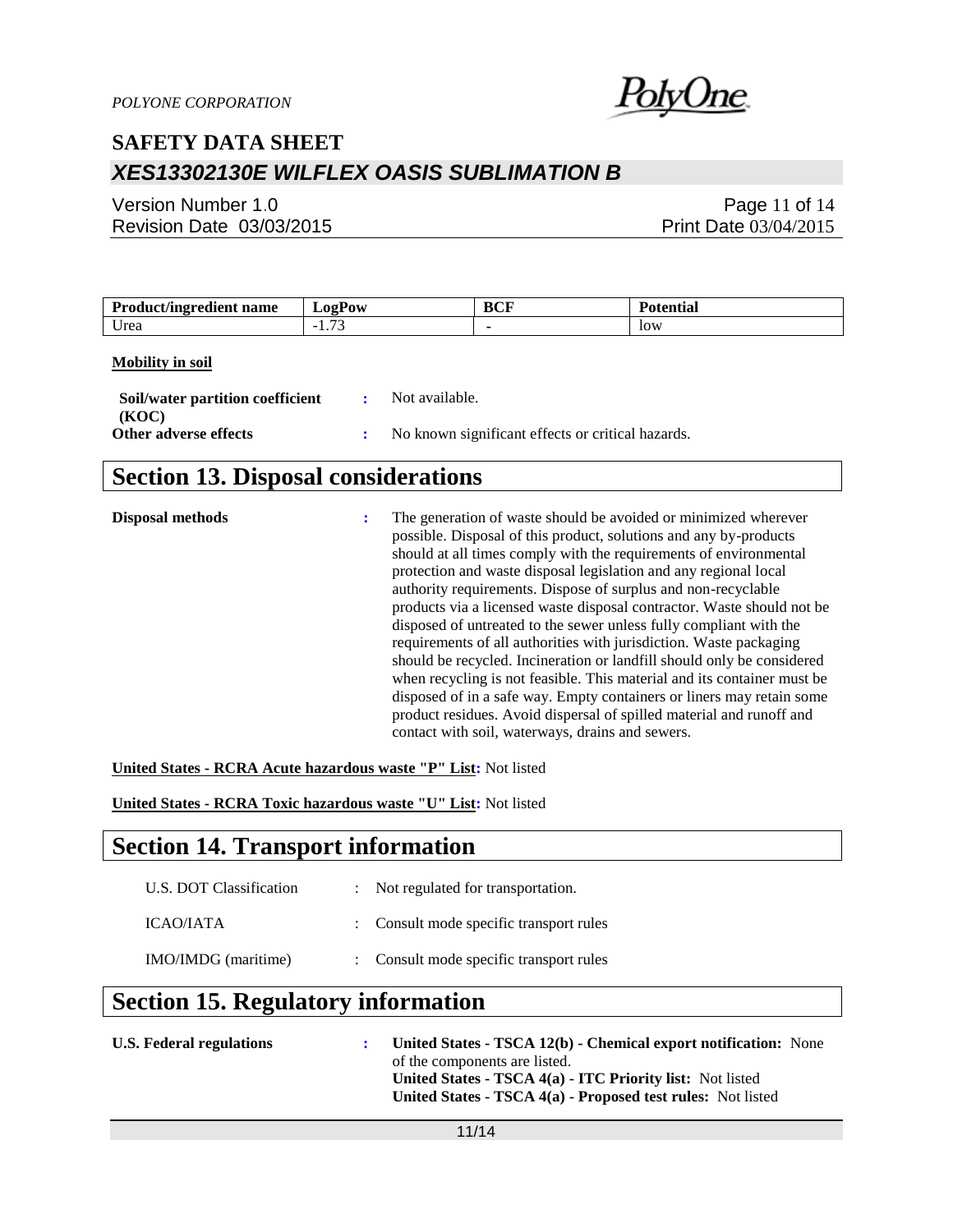

Version Number 1.0 Revision Date 03/03/2015

Page 11 of 14 Print Date 03/04/2015

| <b>Product/ingredient name</b> | LogPow        | BCF | <b>Potential</b> |
|--------------------------------|---------------|-----|------------------|
| Urea                           | 1. <i>. .</i> |     | low              |

#### **Mobility in soil**

| Soil/water partition coefficient<br>(KOC) | $\mathbf{R}$ | Not available.                                    |
|-------------------------------------------|--------------|---------------------------------------------------|
| Other adverse effects                     |              | No known significant effects or critical hazards. |

# **Section 13. Disposal considerations**

| Disposal methods | ÷ | The generation of waste should be avoided or minimized wherever<br>possible. Disposal of this product, solutions and any by-products<br>should at all times comply with the requirements of environmental<br>protection and waste disposal legislation and any regional local<br>authority requirements. Dispose of surplus and non-recyclable<br>products via a licensed waste disposal contractor. Waste should not be<br>disposed of untreated to the sewer unless fully compliant with the<br>requirements of all authorities with jurisdiction. Waste packaging<br>should be recycled. Incineration or landfill should only be considered<br>when recycling is not feasible. This material and its container must be<br>disposed of in a safe way. Empty containers or liners may retain some<br>product residues. Avoid dispersal of spilled material and runoff and<br>contact with soil, waterways, drains and sewers. |
|------------------|---|--------------------------------------------------------------------------------------------------------------------------------------------------------------------------------------------------------------------------------------------------------------------------------------------------------------------------------------------------------------------------------------------------------------------------------------------------------------------------------------------------------------------------------------------------------------------------------------------------------------------------------------------------------------------------------------------------------------------------------------------------------------------------------------------------------------------------------------------------------------------------------------------------------------------------------|
|                  |   |                                                                                                                                                                                                                                                                                                                                                                                                                                                                                                                                                                                                                                                                                                                                                                                                                                                                                                                                |

**United States - RCRA Acute hazardous waste "P" List:** Not listed

**United States - RCRA Toxic hazardous waste "U" List:** Not listed

### **Section 14. Transport information**

| U.S. DOT Classification | : Not regulated for transportation.     |
|-------------------------|-----------------------------------------|
| ICAO/IATA               | : Consult mode specific transport rules |
| IMO/IMDG (maritime)     | : Consult mode specific transport rules |

# **Section 15. Regulatory information**

| <b>U.S. Federal regulations</b> | United States - TSCA 12(b) - Chemical export notification: None |
|---------------------------------|-----------------------------------------------------------------|
|                                 | of the components are listed.                                   |
|                                 | United States - TSCA 4(a) - ITC Priority list: Not listed       |
|                                 | United States - TSCA 4(a) - Proposed test rules: Not listed     |
|                                 |                                                                 |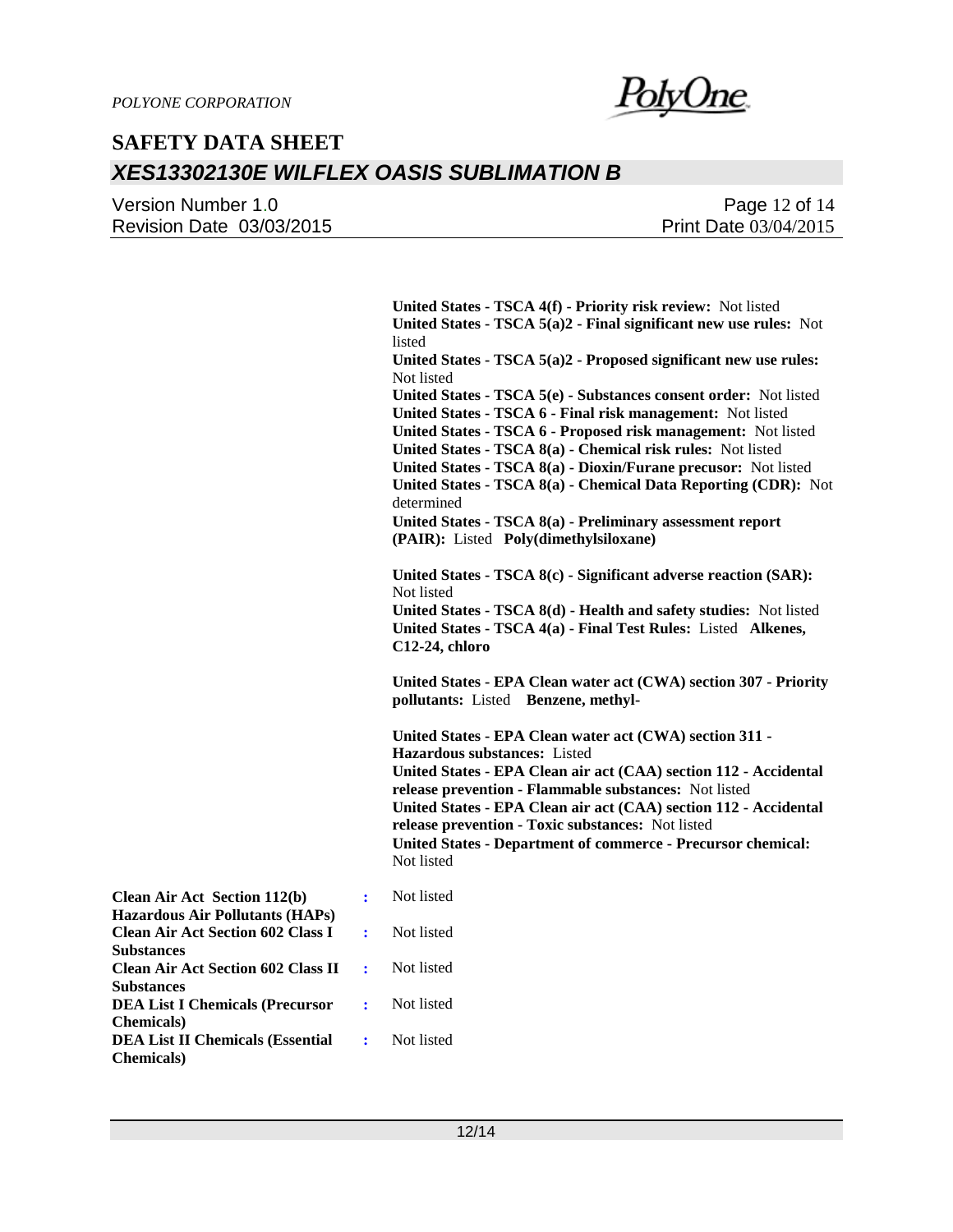Version Number 1.0 Revision Date 03/03/2015

Page 12 of 14 Print Date 03/04/2015

**United States - TSCA 4(f) - Priority risk review:** Not listed **United States - TSCA 5(a)2 - Final significant new use rules:** Not listed **United States - TSCA 5(a)2 - Proposed significant new use rules:**  Not listed **United States - TSCA 5(e) - Substances consent order:** Not listed **United States - TSCA 6 - Final risk management:** Not listed **United States - TSCA 6 - Proposed risk management:** Not listed **United States - TSCA 8(a) - Chemical risk rules:** Not listed **United States - TSCA 8(a) - Dioxin/Furane precusor:** Not listed **United States - TSCA 8(a) - Chemical Data Reporting (CDR):** Not determined **United States - TSCA 8(a) - Preliminary assessment report (PAIR):** Listed **Poly(dimethylsiloxane) United States - TSCA 8(c) - Significant adverse reaction (SAR):**  Not listed **United States - TSCA 8(d) - Health and safety studies:** Not listed **United States - TSCA 4(a) - Final Test Rules:** Listed **Alkenes, C12-24, chloro United States - EPA Clean water act (CWA) section 307 - Priority pollutants:** Listed **Benzene, methyl-United States - EPA Clean water act (CWA) section 311 - Hazardous substances:** Listed **United States - EPA Clean air act (CAA) section 112 - Accidental release prevention - Flammable substances:** Not listed **United States - EPA Clean air act (CAA) section 112 - Accidental release prevention - Toxic substances:** Not listed **United States - Department of commerce - Precursor chemical:**  Not listed **:** Not listed listed listed

| <b>Hazardous Air Pollutants (HAPs)</b>                 |            |
|--------------------------------------------------------|------------|
| Clean Air Act Section 602 Class I :                    | Not listed |
| <b>Substances</b>                                      |            |
| <b>Clean Air Act Section 602 Class II :</b> Not listed |            |
| <b>Substances</b>                                      |            |
| <b>DEA List I Chemicals (Precursor</b> : Not listed    |            |
| <b>Chemicals</b> )                                     |            |
| <b>DEA List II Chemicals (Essential :</b> Not listed   |            |
| <b>Chemicals</b> )                                     |            |

**Clean Air Act Section 112(b)**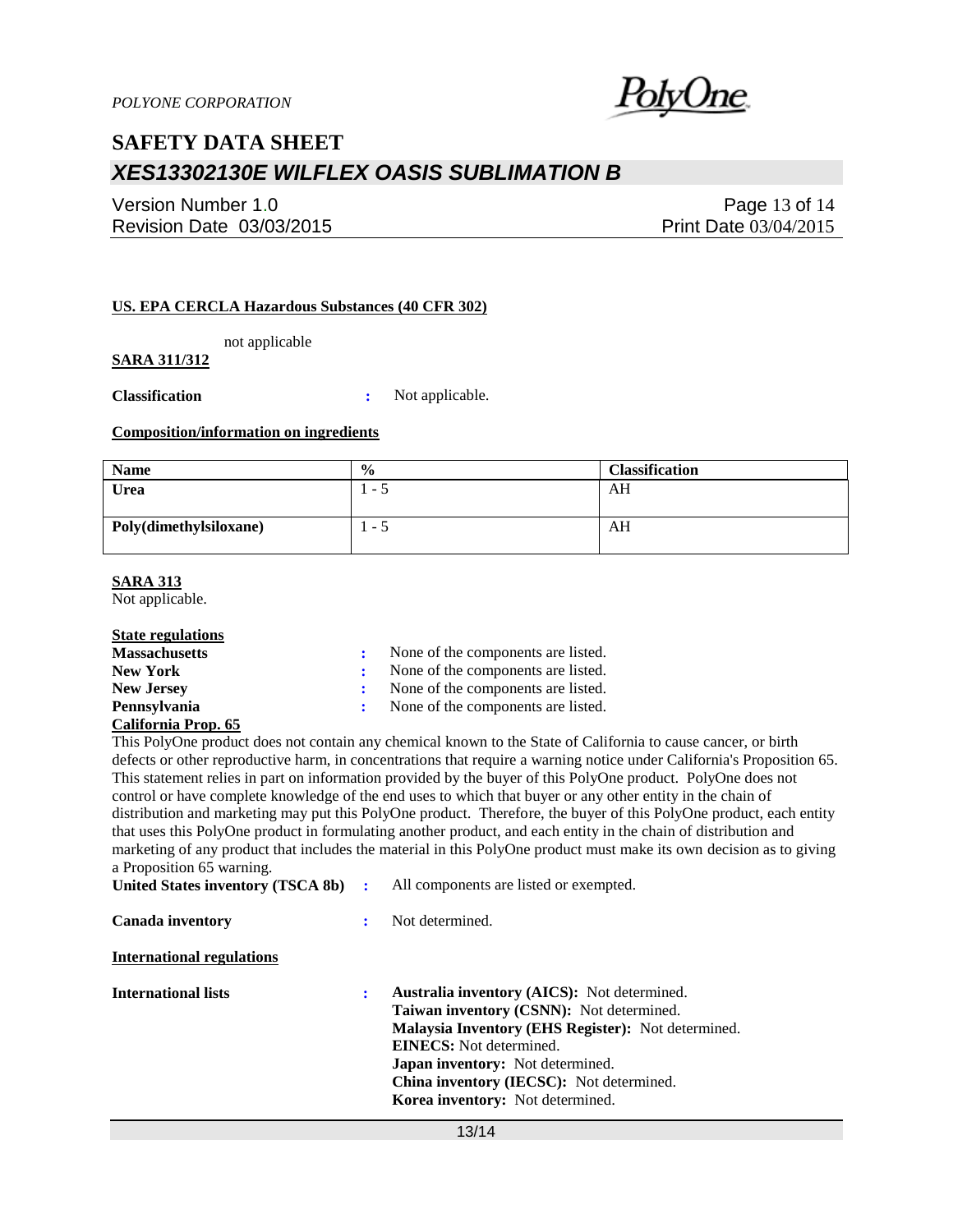

Version Number 1.0 Revision Date 03/03/2015

Page 13 of 14 Print Date 03/04/2015

#### **US. EPA CERCLA Hazardous Substances (40 CFR 302)**

not applicable

### **SARA 311/312**

**Classification :** Not applicable.

#### **Composition/information on ingredients**

| <b>Name</b>            | $\frac{0}{0}$ | <b>Classification</b> |
|------------------------|---------------|-----------------------|
| Urea                   | . <i>. .</i>  | AH                    |
| Poly(dimethylsiloxane) | ر -           | AH                    |

#### **SARA 313**

Not applicable.

#### **State regulations**

| <b>Massachusetts</b>    | : None of the components are listed. |  |
|-------------------------|--------------------------------------|--|
| <b>New York</b>         | None of the components are listed.   |  |
| <b>New Jersey</b>       | : None of the components are listed. |  |
| Pennsylvania            | : None of the components are listed. |  |
| $C_2$ Komio Duon $\ell$ |                                      |  |

#### **California Prop. 65**

This PolyOne product does not contain any chemical known to the State of California to cause cancer, or birth defects or other reproductive harm, in concentrations that require a warning notice under California's Proposition 65. This statement relies in part on information provided by the buyer of this PolyOne product. PolyOne does not control or have complete knowledge of the end uses to which that buyer or any other entity in the chain of distribution and marketing may put this PolyOne product. Therefore, the buyer of this PolyOne product, each entity that uses this PolyOne product in formulating another product, and each entity in the chain of distribution and marketing of any product that includes the material in this PolyOne product must make its own decision as to giving a Proposition 65 warning.

| United States inventory (TSCA 8b) : |   | All components are listed or exempted.                                                                                                                                                                                                                                                                                                        |
|-------------------------------------|---|-----------------------------------------------------------------------------------------------------------------------------------------------------------------------------------------------------------------------------------------------------------------------------------------------------------------------------------------------|
| Canada inventory                    | ÷ | Not determined.                                                                                                                                                                                                                                                                                                                               |
| <b>International regulations</b>    |   |                                                                                                                                                                                                                                                                                                                                               |
| <b>International lists</b>          | ÷ | <b>Australia inventory (AICS):</b> Not determined.<br><b>Taiwan inventory (CSNN):</b> Not determined.<br><b>Malaysia Inventory (EHS Register):</b> Not determined.<br><b>EINECS:</b> Not determined.<br><b>Japan inventory:</b> Not determined.<br><b>China inventory (IECSC):</b> Not determined.<br><b>Korea inventory:</b> Not determined. |